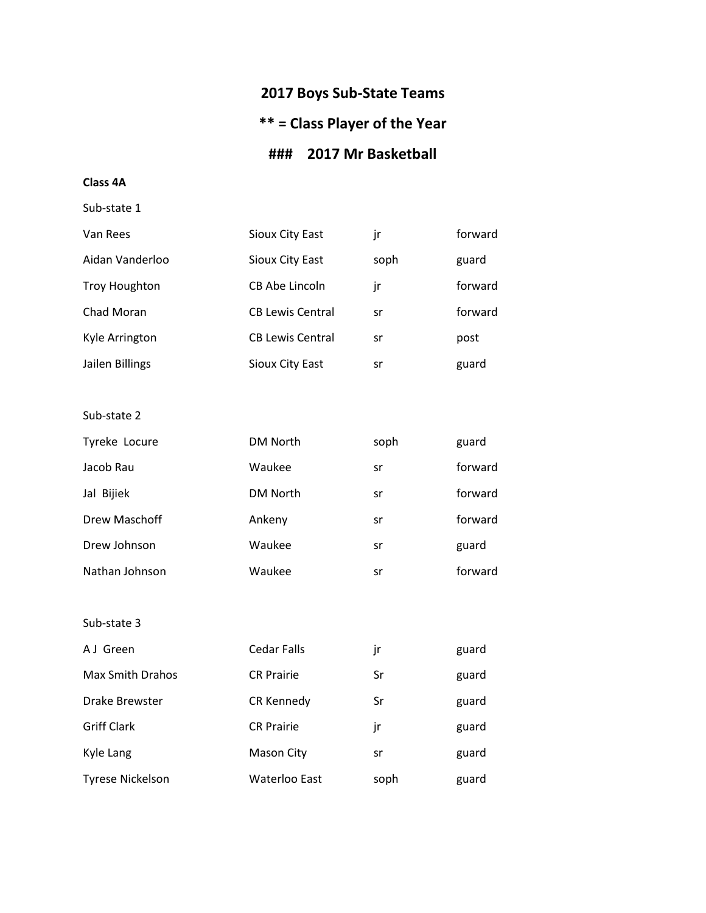# **2017 Boys Sub-State Teams**

# **\*\* = Class Player of the Year**

# **### 2017 Mr Basketball**

**Class 4A**

Sub-state 1

| Van Rees             | Sioux City East         | jr   | forward |
|----------------------|-------------------------|------|---------|
| Aidan Vanderloo      | Sioux City East         | soph | guard   |
| <b>Troy Houghton</b> | CB Abe Lincoln          | jr   | forward |
| Chad Moran           | <b>CB Lewis Central</b> | sr   | forward |
| Kyle Arrington       | <b>CB Lewis Central</b> | sr   | post    |
| Jailen Billings      | Sioux City East         | sr   | guard   |

Sub-state 2

| Tyreke Locure  | <b>DM North</b> | soph | guard   |
|----------------|-----------------|------|---------|
| Jacob Rau      | Waukee          | sr   | forward |
| Jal Bijiek     | <b>DM North</b> | sr   | forward |
| Drew Maschoff  | Ankeny          | sr   | forward |
| Drew Johnson   | Waukee          | sr   | guard   |
| Nathan Johnson | Waukee          | sr   | forward |

| A J Green               | <b>Cedar Falls</b> | jr   | guard |
|-------------------------|--------------------|------|-------|
| <b>Max Smith Drahos</b> | <b>CR Prairie</b>  | Sr   | guard |
| Drake Brewster          | CR Kennedy         | Sr   | guard |
| <b>Griff Clark</b>      | <b>CR Prairie</b>  | jr   | guard |
| Kyle Lang               | Mason City         | sr   | guard |
| <b>Tyrese Nickelson</b> | Waterloo East      | soph | guard |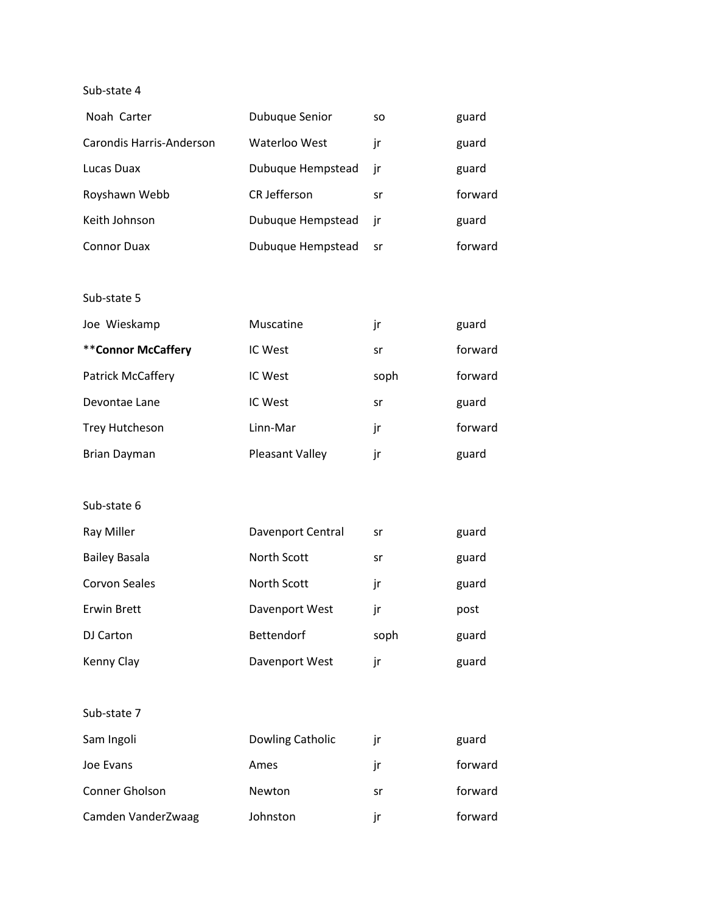| Noah Carter              | <b>Dubuque Senior</b> | SO.  | guard   |
|--------------------------|-----------------------|------|---------|
| Carondis Harris-Anderson | Waterloo West         | ir   | guard   |
| Lucas Duax               | Dubuque Hempstead     | - ir | guard   |
| Royshawn Webb            | <b>CR Jefferson</b>   | sr   | forward |
| Keith Johnson            | Dubuque Hempstead jr  |      | guard   |
| <b>Connor Duax</b>       | Dubuque Hempstead     | sr   | forward |

Sub-state 5

| Joe Wieskamp             | Muscatine              | jr   | guard   |
|--------------------------|------------------------|------|---------|
| **Connor McCaffery       | IC West                | sr   | forward |
| <b>Patrick McCaffery</b> | IC West                | soph | forward |
| Devontae Lane            | IC West                | sr   | guard   |
| Trey Hutcheson           | Linn-Mar               | jr   | forward |
| <b>Brian Dayman</b>      | <b>Pleasant Valley</b> | ır   | guard   |

| Ray Miller           | <b>Davenport Central</b> | sr   | guard |
|----------------------|--------------------------|------|-------|
| <b>Bailey Basala</b> | North Scott              | sr   | guard |
| Corvon Seales        | North Scott              | jr   | guard |
| Erwin Brett          | Davenport West           | jr   | post  |
| DJ Carton            | <b>Bettendorf</b>        | soph | guard |
| Kenny Clay           | Davenport West           | jr   | guard |

| Sub-state 7 |  |
|-------------|--|
| Sam Ingoli  |  |

| Sam Ingoli         | Dowling Catholic |    | guard   |
|--------------------|------------------|----|---------|
| Joe Evans          | Ames             |    | forward |
| Conner Gholson     | Newton           | sr | forward |
| Camden VanderZwaag | Johnston         | ır | forward |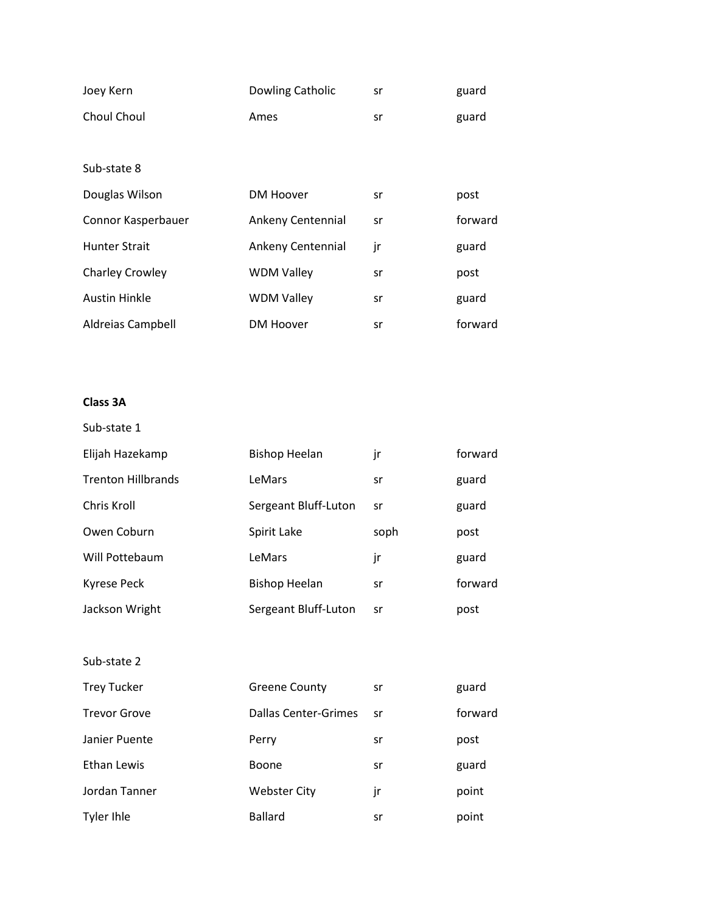| Joey Kern              | Dowling Catholic  | sr | guard   |
|------------------------|-------------------|----|---------|
| Choul Choul            | Ames              | sr | guard   |
|                        |                   |    |         |
| Sub-state 8            |                   |    |         |
| Douglas Wilson         | DM Hoover         | sr | post    |
| Connor Kasperbauer     | Ankeny Centennial | sr | forward |
| <b>Hunter Strait</b>   | Ankeny Centennial | jr | guard   |
| <b>Charley Crowley</b> | <b>WDM Valley</b> | sr | post    |
| <b>Austin Hinkle</b>   | <b>WDM Valley</b> | sr | guard   |
| Aldreias Campbell      | <b>DM Hoover</b>  | sr | forward |

# **Class 3A**

| Sub-state 1               |                      |      |         |
|---------------------------|----------------------|------|---------|
| Elijah Hazekamp           | <b>Bishop Heelan</b> | jr   | forward |
| <b>Trenton Hillbrands</b> | LeMars               | sr   | guard   |
| Chris Kroll               | Sergeant Bluff-Luton | sr   | guard   |
| Owen Coburn               | Spirit Lake          | soph | post    |
| Will Pottebaum            | LeMars               | jr   | guard   |
| Kyrese Peck               | <b>Bishop Heelan</b> | sr   | forward |
| Jackson Wright            | Sergeant Bluff-Luton | sr   | post    |

| <b>Trey Tucker</b>  | <b>Greene County</b> | sr | guard   |
|---------------------|----------------------|----|---------|
| <b>Trevor Grove</b> | Dallas Center-Grimes | sr | forward |
| Janier Puente       | Perry                | sr | post    |
| Ethan Lewis         | <b>Boone</b>         | sr | guard   |
| Jordan Tanner       | <b>Webster City</b>  | jr | point   |
| Tyler Ihle          | <b>Ballard</b>       | sr | point   |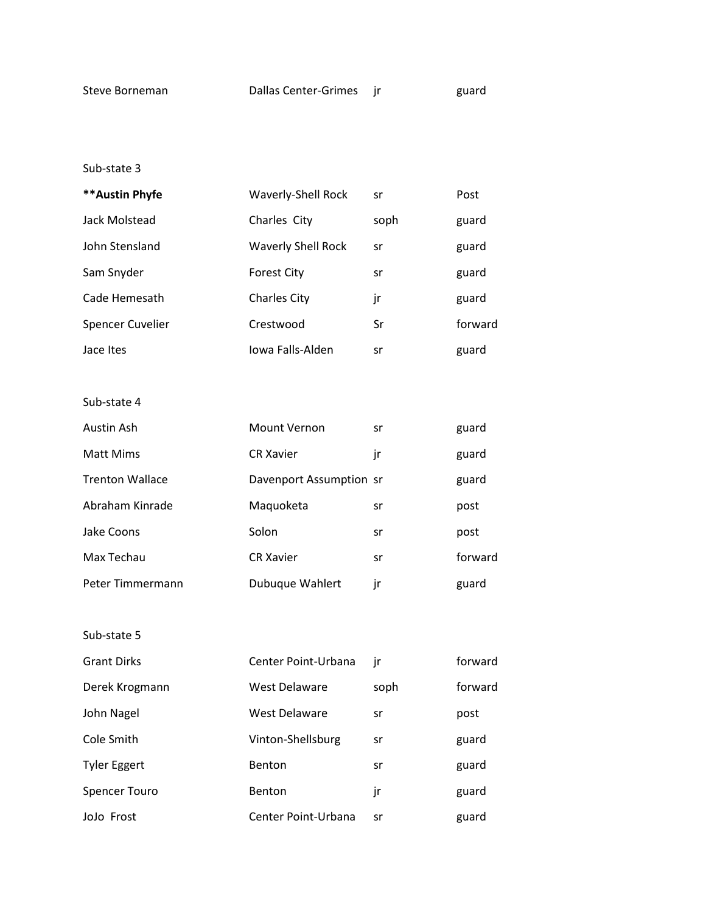| ** Austin Phyfe         | <b>Waverly-Shell Rock</b> | sr   | Post    |
|-------------------------|---------------------------|------|---------|
| Jack Molstead           | Charles City              | soph | guard   |
| John Stensland          | <b>Waverly Shell Rock</b> | sr   | guard   |
| Sam Snyder              | <b>Forest City</b>        | sr   | guard   |
| Cade Hemesath           | <b>Charles City</b>       | jr   | guard   |
| <b>Spencer Cuvelier</b> | Crestwood                 | Sr   | forward |
| Jace Ites               | Iowa Falls-Alden          | sr   | guard   |

Sub-state 4

| Austin Ash             | <b>Mount Vernon</b>     | sr | guard   |
|------------------------|-------------------------|----|---------|
| <b>Matt Mims</b>       | <b>CR Xavier</b>        | ١r | guard   |
| <b>Trenton Wallace</b> | Davenport Assumption sr |    | guard   |
| Abraham Kinrade        | Maquoketa               | sr | post    |
| Jake Coons             | Solon                   | sr | post    |
| Max Techau             | <b>CR Xavier</b>        | sr | forward |
| Peter Timmermann       | Dubuque Wahlert         | ır | guard   |

| <b>Grant Dirks</b>   | Center Point-Urbana  | jr   | forward |
|----------------------|----------------------|------|---------|
| Derek Krogmann       | West Delaware        | soph | forward |
| John Nagel           | <b>West Delaware</b> | sr   | post    |
| Cole Smith           | Vinton-Shellsburg    | sr   | guard   |
| <b>Tyler Eggert</b>  | <b>Benton</b>        | sr   | guard   |
| <b>Spencer Touro</b> | Benton               | jr   | guard   |
| JoJo Frost           | Center Point-Urbana  | sr   | guard   |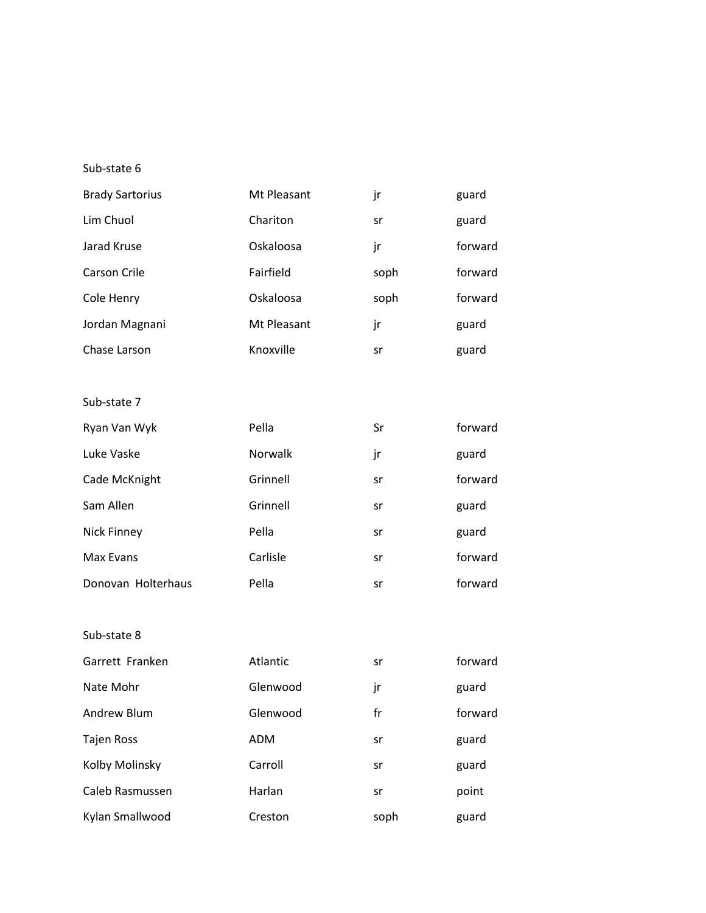| <b>Brady Sartorius</b> | Mt Pleasant | jr   | guard   |
|------------------------|-------------|------|---------|
| Lim Chuol              | Chariton    | sr   | guard   |
| Jarad Kruse            | Oskaloosa   | jr   | forward |
| Carson Crile           | Fairfield   | soph | forward |
| Cole Henry             | Oskaloosa   | soph | forward |
| Jordan Magnani         | Mt Pleasant | jr   | guard   |
| Chase Larson           | Knoxville   | sr   | guard   |

## Sub-state 7

| Ryan Van Wyk       | Pella    | Sr | forward |
|--------------------|----------|----|---------|
| Luke Vaske         | Norwalk  | jr | guard   |
| Cade McKnight      | Grinnell | sr | forward |
| Sam Allen          | Grinnell | sr | guard   |
| Nick Finney        | Pella    | sr | guard   |
| Max Evans          | Carlisle | sr | forward |
| Donovan Holterhaus | Pella    | sr | forward |

| Garrett Franken   | Atlantic   | sr   | forward |
|-------------------|------------|------|---------|
| Nate Mohr         | Glenwood   | jr   | guard   |
| Andrew Blum       | Glenwood   | fr   | forward |
| <b>Tajen Ross</b> | <b>ADM</b> | sr   | guard   |
| Kolby Molinsky    | Carroll    | sr   | guard   |
| Caleb Rasmussen   | Harlan     | sr   | point   |
| Kylan Smallwood   | Creston    | soph | guard   |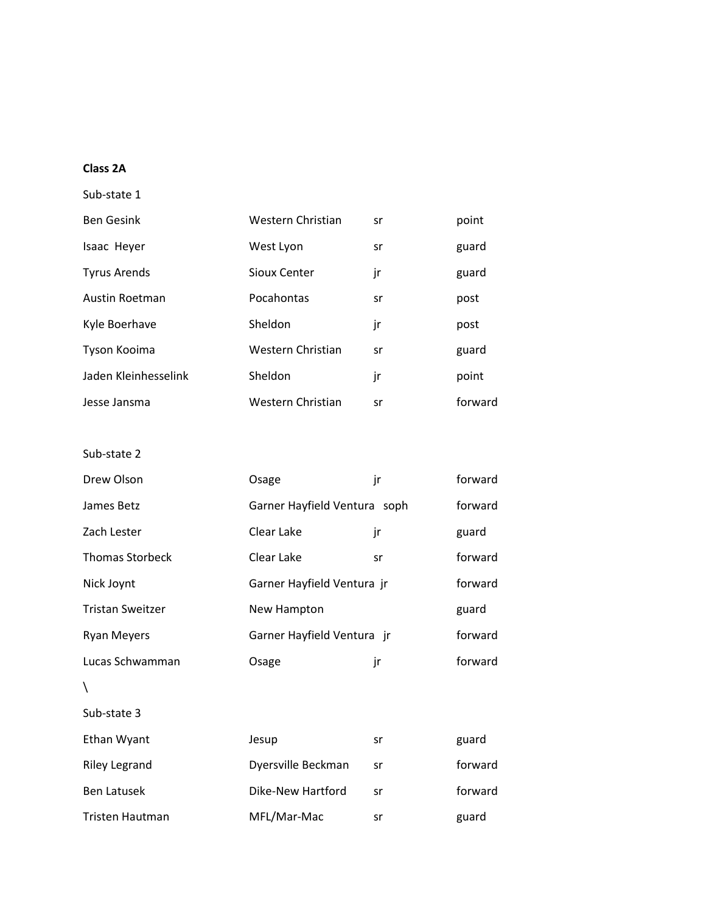#### **Class 2A**

Sub-state 1

| <b>Ben Gesink</b>    | Western Christian | sr | point   |
|----------------------|-------------------|----|---------|
| Isaac Heyer          | West Lyon         | sr | guard   |
| <b>Tyrus Arends</b>  | Sioux Center      | jr | guard   |
| Austin Roetman       | Pocahontas        | sr | post    |
| Kyle Boerhave        | Sheldon           | jr | post    |
| Tyson Kooima         | Western Christian | sr | guard   |
| Jaden Kleinhesselink | Sheldon           | jr | point   |
| Jesse Jansma         | Western Christian | sr | forward |

| Drew Olson              | Osage                      | jr                           | forward |
|-------------------------|----------------------------|------------------------------|---------|
| James Betz              |                            | Garner Hayfield Ventura soph |         |
| Zach Lester             | Clear Lake                 | jr                           | guard   |
| <b>Thomas Storbeck</b>  | Clear Lake                 | sr                           | forward |
| Nick Joynt              | Garner Hayfield Ventura jr |                              | forward |
| <b>Tristan Sweitzer</b> | New Hampton                |                              | guard   |
| <b>Ryan Meyers</b>      | Garner Hayfield Ventura jr |                              | forward |
| Lucas Schwamman         | Osage                      | jr                           | forward |
| Λ                       |                            |                              |         |
| Sub-state 3             |                            |                              |         |
| Ethan Wyant             | Jesup                      | sr                           | guard   |

| Ethan Wyant     | Jesup              | sr | guard   |
|-----------------|--------------------|----|---------|
| Riley Legrand   | Dyersville Beckman | sr | forward |
| Ben Latusek     | Dike-New Hartford  | sr | forward |
| Tristen Hautman | MFL/Mar-Mac        | sr | guard   |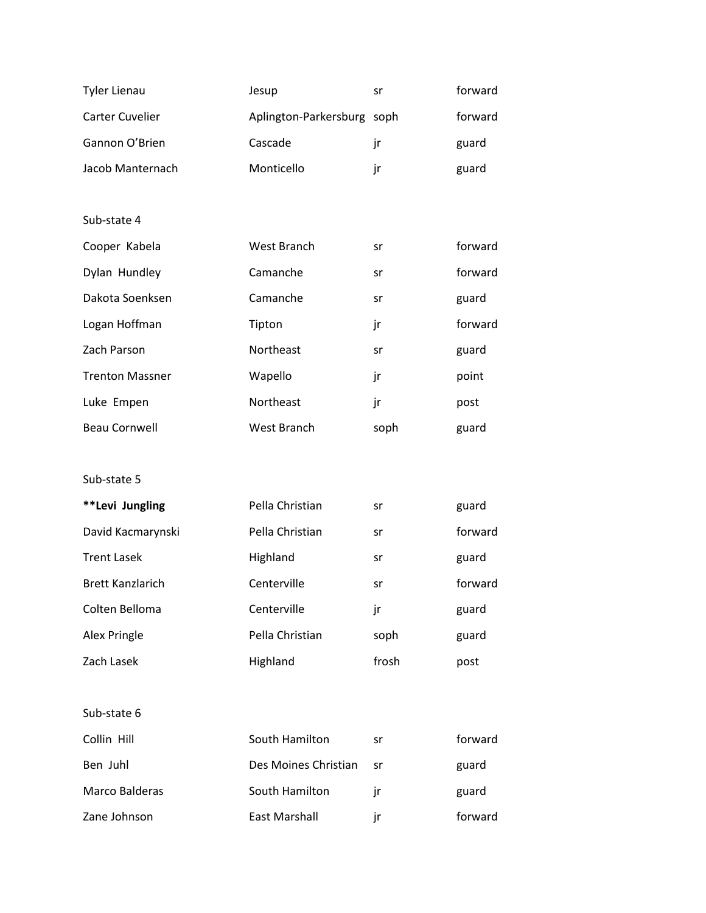| <b>Tyler Lienau</b>     | Jesup                      | sr    | forward |
|-------------------------|----------------------------|-------|---------|
| <b>Carter Cuvelier</b>  | Aplington-Parkersburg soph |       | forward |
| Gannon O'Brien          | Cascade                    | jr    | guard   |
| Jacob Manternach        | Monticello                 | jr    | guard   |
|                         |                            |       |         |
| Sub-state 4             |                            |       |         |
| Cooper Kabela           | West Branch                | sr    | forward |
| Dylan Hundley           | Camanche                   | sr    | forward |
| Dakota Soenksen         | Camanche                   | sr    | guard   |
| Logan Hoffman           | Tipton                     | jr    | forward |
| Zach Parson             | Northeast                  | sr    | guard   |
| <b>Trenton Massner</b>  | Wapello                    | jr    | point   |
| Luke Empen              | Northeast                  | jr    | post    |
| <b>Beau Cornwell</b>    | West Branch                | soph  | guard   |
|                         |                            |       |         |
| Sub-state 5             |                            |       |         |
| **Levi Jungling         | Pella Christian            | sr    | guard   |
| David Kacmarynski       | Pella Christian            | sr    | forward |
| <b>Trent Lasek</b>      | Highland                   | sr    | guard   |
| <b>Brett Kanzlarich</b> | Centerville                | sr    | forward |
| Colten Belloma          | Centerville                | jr    | guard   |
| Alex Pringle            | Pella Christian            | soph  | guard   |
| Zach Lasek              | Highland                   | frosh | post    |
|                         |                            |       |         |
| Sub-state 6             |                            |       |         |
| Collin Hill             | South Hamilton             | sr    | forward |
| Ben Juhl                | Des Moines Christian       | sr    | guard   |
| Marco Balderas          | South Hamilton             | jr    | guard   |

Zane Johnson **East Marshall** Forward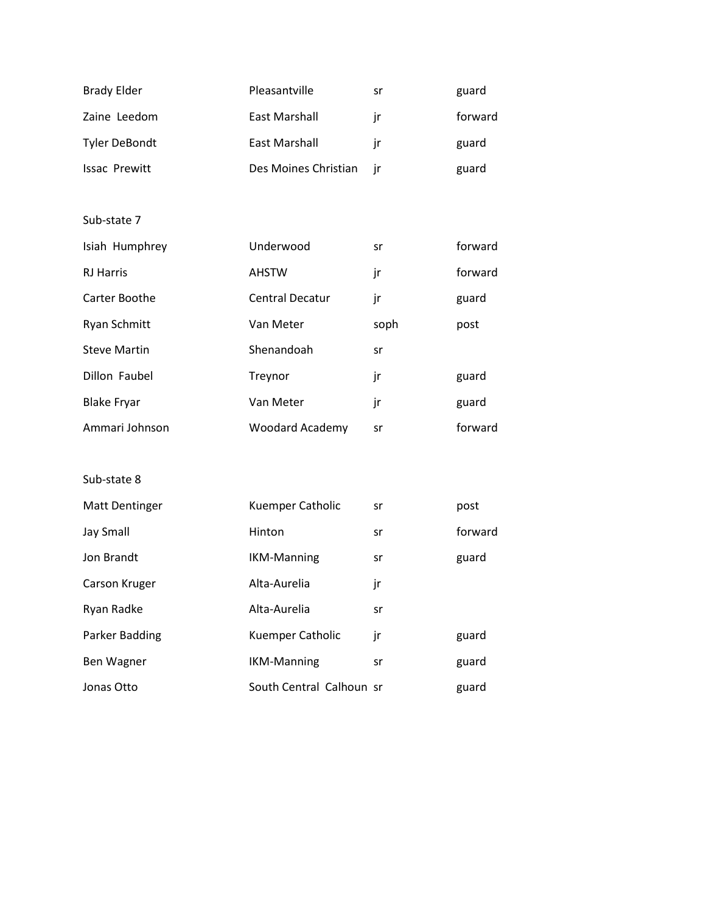| <b>Brady Elder</b>   | Pleasantville        | sr | guard   |
|----------------------|----------------------|----|---------|
| Zaine Leedom         | East Marshall        | ır | forward |
| <b>Tyler DeBondt</b> | East Marshall        | ır | guard   |
| <b>Issac Prewitt</b> | Des Moines Christian |    | guard   |

| Isiah Humphrey      | Underwood              | sr   | forward |
|---------------------|------------------------|------|---------|
| <b>RJ Harris</b>    | <b>AHSTW</b>           | jr   | forward |
| Carter Boothe       | <b>Central Decatur</b> | jr   | guard   |
| <b>Ryan Schmitt</b> | Van Meter              | soph | post    |
| <b>Steve Martin</b> | Shenandoah             | sr   |         |
| Dillon Faubel       | Treynor                | jr   | guard   |
| <b>Blake Fryar</b>  | Van Meter              | jr   | guard   |
| Ammari Johnson      | Woodard Academy        | sr   | forward |

| <b>Matt Dentinger</b> | Kuemper Catholic         | sr | post    |
|-----------------------|--------------------------|----|---------|
| <b>Jay Small</b>      | Hinton                   | sr | forward |
| Jon Brandt            | <b>IKM-Manning</b>       | sr | guard   |
| Carson Kruger         | Alta-Aurelia             | jr |         |
| Ryan Radke            | Alta-Aurelia             | sr |         |
| Parker Badding        | Kuemper Catholic         | jr | guard   |
| Ben Wagner            | <b>IKM-Manning</b>       | sr | guard   |
| Jonas Otto            | South Central Calhoun sr |    | guard   |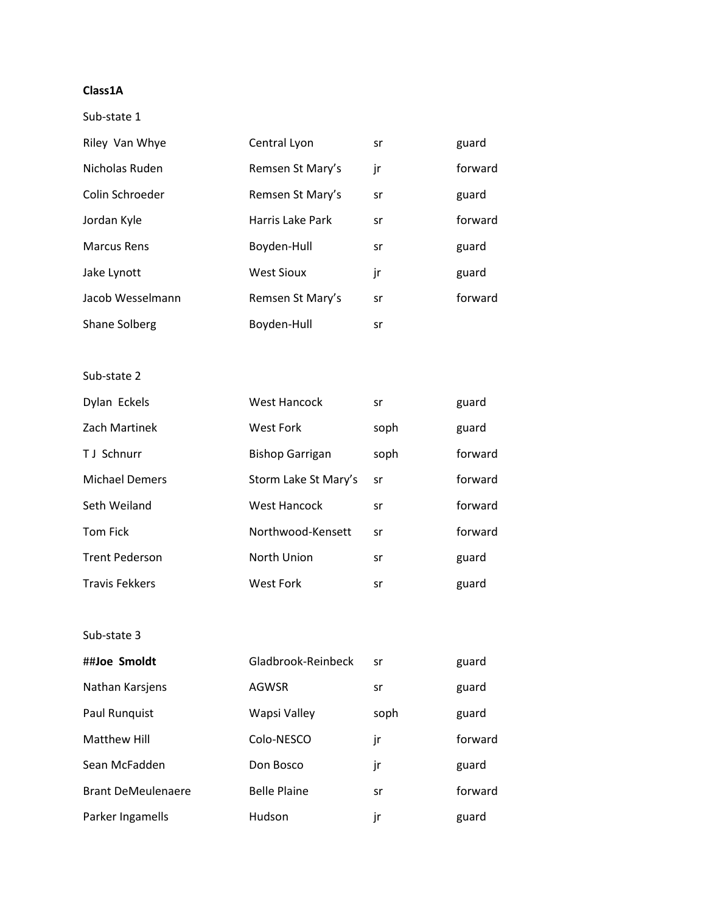### **Class1A**

Sub-state 1

| Riley Van Whye     | Central Lyon      | sr | guard   |
|--------------------|-------------------|----|---------|
| Nicholas Ruden     | Remsen St Mary's  | jr | forward |
| Colin Schroeder    | Remsen St Mary's  | sr | guard   |
| Jordan Kyle        | Harris Lake Park  | sr | forward |
| <b>Marcus Rens</b> | Boyden-Hull       | sr | guard   |
| Jake Lynott        | <b>West Sioux</b> | jr | guard   |
| Jacob Wesselmann   | Remsen St Mary's  | sr | forward |
| Shane Solberg      | Boyden-Hull       | sr |         |

Sub-state 2

| Dylan Eckels          | West Hancock           | sr   | guard   |
|-----------------------|------------------------|------|---------|
| Zach Martinek         | West Fork              | soph | guard   |
| <b>TJ</b> Schnurr     | <b>Bishop Garrigan</b> | soph | forward |
| <b>Michael Demers</b> | Storm Lake St Mary's   | sr   | forward |
| Seth Weiland          | West Hancock           | sr   | forward |
| <b>Tom Fick</b>       | Northwood-Kensett      | sr   | forward |
| <b>Trent Pederson</b> | North Union            | sr   | guard   |
| <b>Travis Fekkers</b> | West Fork              | sr   | guard   |

| ##Joe Smoldt              | Gladbrook-Reinbeck  | sr   | guard   |
|---------------------------|---------------------|------|---------|
| Nathan Karsjens           | <b>AGWSR</b>        | sr   | guard   |
| Paul Runguist             | Wapsi Valley        | soph | guard   |
| Matthew Hill              | Colo-NESCO          | jr   | forward |
| Sean McFadden             | Don Bosco           | jr   | guard   |
| <b>Brant DeMeulenaere</b> | <b>Belle Plaine</b> | sr   | forward |
| Parker Ingamells          | Hudson              | jr   | guard   |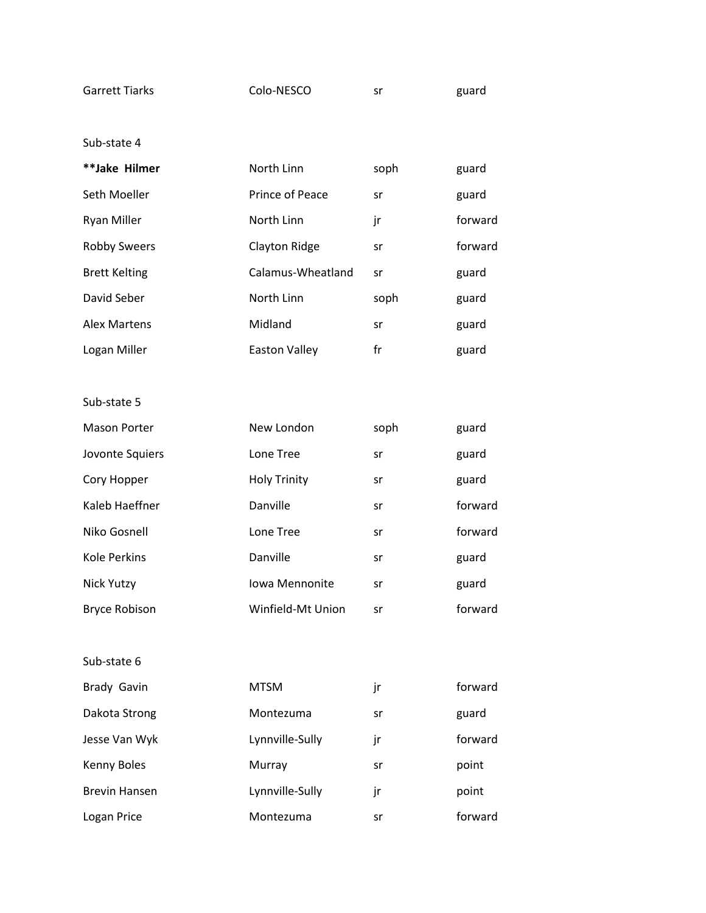| Garrett Tiarks | Colo-NESCO | guard |
|----------------|------------|-------|
|                |            |       |

| **Jake Hilmer        | North Linn        | soph | guard   |
|----------------------|-------------------|------|---------|
| Seth Moeller         | Prince of Peace   | sr   | guard   |
| <b>Ryan Miller</b>   | North Linn        | jr   | forward |
| <b>Robby Sweers</b>  | Clayton Ridge     | sr   | forward |
| <b>Brett Kelting</b> | Calamus-Wheatland | sr   | guard   |
| David Seber          | North Linn        | soph | guard   |
| Alex Martens         | Midland           | sr   | guard   |
| Logan Miller         | Easton Valley     | fr   | guard   |

Sub-state 5

| <b>Mason Porter</b>  | New London            | soph | guard   |
|----------------------|-----------------------|------|---------|
| Jovonte Squiers      | Lone Tree             | sr   | guard   |
| Cory Hopper          | <b>Holy Trinity</b>   | sr   | guard   |
| Kaleb Haeffner       | Danville              | sr   | forward |
| Niko Gosnell         | Lone Tree             | sr   | forward |
| Kole Perkins         | Danville              | sr   | guard   |
| Nick Yutzy           | <b>Iowa Mennonite</b> | sr   | guard   |
| <b>Bryce Robison</b> | Winfield-Mt Union     | sr   | forward |

Sub-state 6

Brady Gavin **MTSM** jr forward Dakota Strong **Montezuma** sr guard Jesse Van Wyk Lynnville-Sully jr forward Kenny Boles **Murray** Sr point Brevin Hansen **Lynnville-Sully** jr **point** 

Logan Price **Montezuma** Sr forward